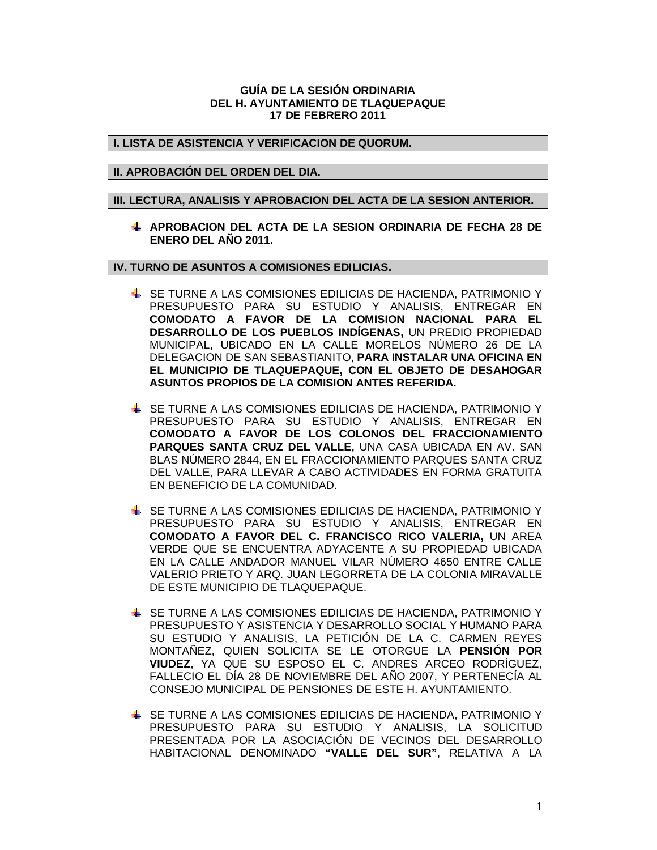# **GUÍA DE LA SESIÓN ORDINARIA DEL H. AYUNTAMIENTO DE TLAQUEPAQUE 17 DE FEBRERO 2011**

# **I. LISTA DE ASISTENCIA Y VERIFICACION DE QUORUM.**

# **II. APROBACIÓN DEL ORDEN DEL DIA.**

#### **III. LECTURA, ANALISIS Y APROBACION DEL ACTA DE LA SESION ANTERIOR.**

**APROBACION DEL ACTA DE LA SESION ORDINARIA DE FECHA 28 DE ENERO DEL AÑO 2011.**

**IV. TURNO DE ASUNTOS A COMISIONES EDILICIAS.**

- SE TURNE A LAS COMISIONES EDILICIAS DE HACIENDA, PATRIMONIO Y PRESUPUESTO PARA SU ESTUDIO Y ANALISIS, ENTREGAR EN **COMODATO A FAVOR DE LA COMISION NACIONAL PARA EL DESARROLLO DE LOS PUEBLOS INDÍGENAS,** UN PREDIO PROPIEDAD MUNICIPAL, UBICADO EN LA CALLE MORELOS NÚMERO 26 DE LA DELEGACION DE SAN SEBASTIANITO, **PARA INSTALAR UNA OFICINA EN EL MUNICIPIO DE TLAQUEPAQUE, CON EL OBJETO DE DESAHOGAR ASUNTOS PROPIOS DE LA COMISION ANTES REFERIDA.**
- SE TURNE A LAS COMISIONES EDILICIAS DE HACIENDA, PATRIMONIO Y PRESUPUESTO PARA SU ESTUDIO Y ANALISIS, ENTREGAR EN **COMODATO A FAVOR DE LOS COLONOS DEL FRACCIONAMIENTO PARQUES SANTA CRUZ DEL VALLE,** UNA CASA UBICADA EN AV. SAN BLAS NÚMERO 2844, EN EL FRACCIONAMIENTO PARQUES SANTA CRUZ DEL VALLE, PARA LLEVAR A CABO ACTIVIDADES EN FORMA GRATUITA EN BENEFICIO DE LA COMUNIDAD.
- SE TURNE A LAS COMISIONES EDILICIAS DE HACIENDA, PATRIMONIO Y PRESUPUESTO PARA SU ESTUDIO Y ANALISIS, ENTREGAR EN **COMODATO A FAVOR DEL C. FRANCISCO RICO VALERIA,** UN AREA VERDE QUE SE ENCUENTRA ADYACENTE A SU PROPIEDAD UBICADA EN LA CALLE ANDADOR MANUEL VILAR NÚMERO 4650 ENTRE CALLE VALERIO PRIETO Y ARQ. JUAN LEGORRETA DE LA COLONIA MIRAVALLE DE ESTE MUNICIPIO DE TLAQUEPAQUE.
- SE TURNE A LAS COMISIONES EDILICIAS DE HACIENDA, PATRIMONIO Y PRESUPUESTO Y ASISTENCIA Y DESARROLLO SOCIAL Y HUMANO PARA SU ESTUDIO Y ANALISIS, LA PETICIÓN DE LA C. CARMEN REYES MONTAÑEZ, QUIEN SOLICITA SE LE OTORGUE LA **PENSIÓN POR VIUDEZ**, YA QUE SU ESPOSO EL C. ANDRES ARCEO RODRÍGUEZ, FALLECIO EL DÍA 28 DE NOVIEMBRE DEL AÑO 2007, Y PERTENECÍA AL CONSEJO MUNICIPAL DE PENSIONES DE ESTE H. AYUNTAMIENTO.
- SE TURNE A LAS COMISIONES EDILICIAS DE HACIENDA, PATRIMONIO Y PRESUPUESTO PARA SU ESTUDIO Y ANALISIS, LA SOLICITUD PRESENTADA POR LA ASOCIACIÓN DE VECINOS DEL DESARROLLO HABITACIONAL DENOMINADO **"VALLE DEL SUR"**, RELATIVA A LA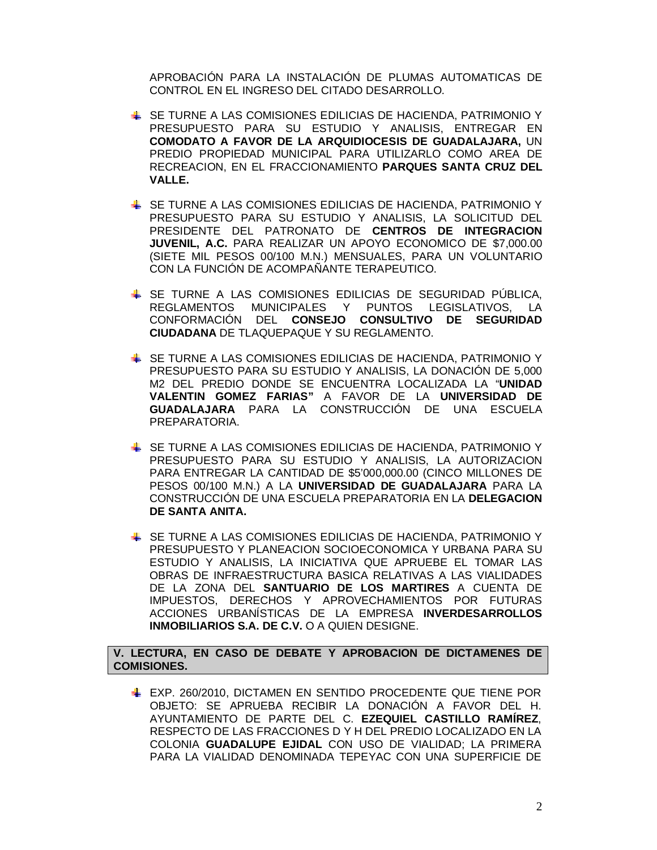APROBACIÓN PARA LA INSTALACIÓN DE PLUMAS AUTOMATICAS DE CONTROL EN EL INGRESO DEL CITADO DESARROLLO.

- SE TURNE A LAS COMISIONES EDILICIAS DE HACIENDA, PATRIMONIO Y PRESUPUESTO PARA SU ESTUDIO Y ANALISIS, ENTREGAR EN **COMODATO A FAVOR DE LA ARQUIDIOCESIS DE GUADALAJARA,** UN PREDIO PROPIEDAD MUNICIPAL PARA UTILIZARLO COMO AREA DE RECREACION, EN EL FRACCIONAMIENTO **PARQUES SANTA CRUZ DEL VALLE.**
- SE TURNE A LAS COMISIONES EDILICIAS DE HACIENDA, PATRIMONIO Y PRESUPUESTO PARA SU ESTUDIO Y ANALISIS, LA SOLICITUD DEL PRESIDENTE DEL PATRONATO DE **CENTROS DE INTEGRACION JUVENIL, A.C.** PARA REALIZAR UN APOYO ECONOMICO DE \$7,000.00 (SIETE MIL PESOS 00/100 M.N.) MENSUALES, PARA UN VOLUNTARIO CON LA FUNCIÓN DE ACOMPAÑANTE TERAPEUTICO.
- SE TURNE A LAS COMISIONES EDILICIAS DE SEGURIDAD PÚBLICA, REGLAMENTOS MUNICIPALES Y PUNTOS LEGISLATIVOS, LA CONFORMACIÓN DEL **CONSEJO CONSULTIVO DE SEGURIDAD CIUDADANA** DE TLAQUEPAQUE Y SU REGLAMENTO.
- SE TURNE A LAS COMISIONES EDILICIAS DE HACIENDA, PATRIMONIO Y PRESUPUESTO PARA SU ESTUDIO Y ANALISIS, LA DONACIÓN DE 5,000 M2 DEL PREDIO DONDE SE ENCUENTRA LOCALIZADA LA "**UNIDAD VALENTIN GOMEZ FARIAS"** A FAVOR DE LA **UNIVERSIDAD DE GUADALAJARA** PARA LA CONSTRUCCIÓN DE UNA ESCUELA PREPARATORIA.
- SE TURNE A LAS COMISIONES EDILICIAS DE HACIENDA, PATRIMONIO Y PRESUPUESTO PARA SU ESTUDIO Y ANALISIS, LA AUTORIZACION PARA ENTREGAR LA CANTIDAD DE \$5'000,000.00 (CINCO MILLONES DE PESOS 00/100 M.N.) A LA **UNIVERSIDAD DE GUADALAJARA** PARA LA CONSTRUCCIÓN DE UNA ESCUELA PREPARATORIA EN LA **DELEGACION DE SANTA ANITA.**
- SE TURNE A LAS COMISIONES EDILICIAS DE HACIENDA, PATRIMONIO Y PRESUPUESTO Y PLANEACION SOCIOECONOMICA Y URBANA PARA SU ESTUDIO Y ANALISIS, LA INICIATIVA QUE APRUEBE EL TOMAR LAS OBRAS DE INFRAESTRUCTURA BASICA RELATIVAS A LAS VIALIDADES DE LA ZONA DEL **SANTUARIO DE LOS MARTIRES** A CUENTA DE IMPUESTOS, DERECHOS Y APROVECHAMIENTOS POR FUTURAS ACCIONES URBANÍSTICAS DE LA EMPRESA **INVERDESARROLLOS INMOBILIARIOS S.A. DE C.V.** O A QUIEN DESIGNE.

**V. LECTURA, EN CASO DE DEBATE Y APROBACION DE DICTAMENES DE COMISIONES.**

EXP. 260/2010, DICTAMEN EN SENTIDO PROCEDENTE QUE TIENE POR OBJETO: SE APRUEBA RECIBIR LA DONACIÓN A FAVOR DEL H. AYUNTAMIENTO DE PARTE DEL C. **EZEQUIEL CASTILLO RAMÍREZ**, RESPECTO DE LAS FRACCIONES D Y H DEL PREDIO LOCALIZADO EN LA COLONIA **GUADALUPE EJIDAL** CON USO DE VIALIDAD; LA PRIMERA PARA LA VIALIDAD DENOMINADA TEPEYAC CON UNA SUPERFICIE DE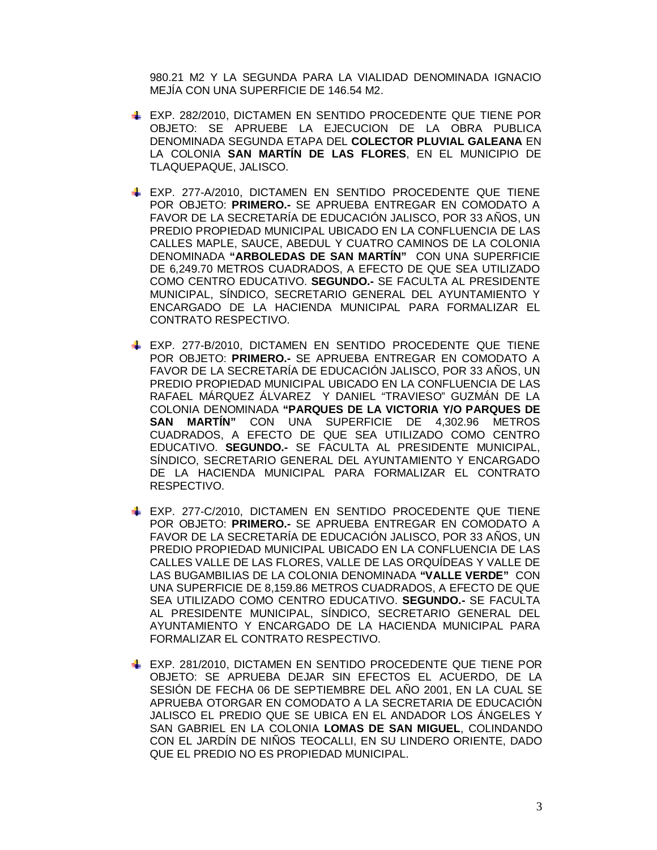980.21 M2 Y LA SEGUNDA PARA LA VIALIDAD DENOMINADA IGNACIO MEJÍA CON UNA SUPERFICIE DE 146.54 M2.

- EXP. 282/2010, DICTAMEN EN SENTIDO PROCEDENTE QUE TIENE POR OBJETO: SE APRUEBE LA EJECUCION DE LA OBRA PUBLICA DENOMINADA SEGUNDA ETAPA DEL **COLECTOR PLUVIAL GALEANA** EN LA COLONIA **SAN MARTÍN DE LAS FLORES**, EN EL MUNICIPIO DE TLAQUEPAQUE, JALISCO.
- EXP. 277-A/2010, DICTAMEN EN SENTIDO PROCEDENTE QUE TIENE POR OBJETO: **PRIMERO.-** SE APRUEBA ENTREGAR EN COMODATO A FAVOR DE LA SECRETARÍA DE EDUCACIÓN JALISCO, POR 33 AÑOS, UN PREDIO PROPIEDAD MUNICIPAL UBICADO EN LA CONFLUENCIA DE LAS CALLES MAPLE, SAUCE, ABEDUL Y CUATRO CAMINOS DE LA COLONIA DENOMINADA **"ARBOLEDAS DE SAN MARTÍN"** CON UNA SUPERFICIE DE 6,249.70 METROS CUADRADOS, A EFECTO DE QUE SEA UTILIZADO COMO CENTRO EDUCATIVO. **SEGUNDO.-** SE FACULTA AL PRESIDENTE MUNICIPAL, SÍNDICO, SECRETARIO GENERAL DEL AYUNTAMIENTO Y ENCARGADO DE LA HACIENDA MUNICIPAL PARA FORMALIZAR EL CONTRATO RESPECTIVO.
- EXP. 277-B/2010, DICTAMEN EN SENTIDO PROCEDENTE QUE TIENE POR OBJETO: **PRIMERO.-** SE APRUEBA ENTREGAR EN COMODATO A FAVOR DE LA SECRETARÍA DE EDUCACIÓN JALISCO, POR 33 AÑOS, UN PREDIO PROPIEDAD MUNICIPAL UBICADO EN LA CONFLUENCIA DE LAS RAFAEL MÁRQUEZ ÁLVAREZ Y DANIEL "TRAVIESO" GUZMÁN DE LA COLONIA DENOMINADA **"PARQUES DE LA VICTORIA Y/O PARQUES DE SAN MARTÍN"** CON UNA SUPERFICIE DE 4,302.96 METROS CUADRADOS, A EFECTO DE QUE SEA UTILIZADO COMO CENTRO EDUCATIVO. **SEGUNDO.-** SE FACULTA AL PRESIDENTE MUNICIPAL, SÍNDICO, SECRETARIO GENERAL DEL AYUNTAMIENTO Y ENCARGADO DE LA HACIENDA MUNICIPAL PARA FORMALIZAR EL CONTRATO RESPECTIVO.
- EXP. 277-C/2010, DICTAMEN EN SENTIDO PROCEDENTE QUE TIENE POR OBJETO: **PRIMERO.-** SE APRUEBA ENTREGAR EN COMODATO A FAVOR DE LA SECRETARÍA DE EDUCACIÓN JALISCO, POR 33 AÑOS, UN PREDIO PROPIEDAD MUNICIPAL UBICADO EN LA CONFLUENCIA DE LAS CALLES VALLE DE LAS FLORES, VALLE DE LAS ORQUÍDEAS Y VALLE DE LAS BUGAMBILIAS DE LA COLONIA DENOMINADA **"VALLE VERDE"** CON UNA SUPERFICIE DE 8,159.86 METROS CUADRADOS, A EFECTO DE QUE SEA UTILIZADO COMO CENTRO EDUCATIVO. **SEGUNDO.-** SE FACULTA AL PRESIDENTE MUNICIPAL, SÍNDICO, SECRETARIO GENERAL DEL AYUNTAMIENTO Y ENCARGADO DE LA HACIENDA MUNICIPAL PARA FORMALIZAR EL CONTRATO RESPECTIVO.
- EXP. 281/2010, DICTAMEN EN SENTIDO PROCEDENTE QUE TIENE POR OBJETO: SE APRUEBA DEJAR SIN EFECTOS EL ACUERDO, DE LA SESIÓN DE FECHA 06 DE SEPTIEMBRE DEL AÑO 2001, EN LA CUAL SE APRUEBA OTORGAR EN COMODATO A LA SECRETARIA DE EDUCACIÓN JALISCO EL PREDIO QUE SE UBICA EN EL ANDADOR LOS ÁNGELES Y SAN GABRIEL EN LA COLONIA **LOMAS DE SAN MIGUEL**, COLINDANDO CON EL JARDÍN DE NIÑOS TEOCALLI, EN SU LINDERO ORIENTE, DADO QUE EL PREDIO NO ES PROPIEDAD MUNICIPAL.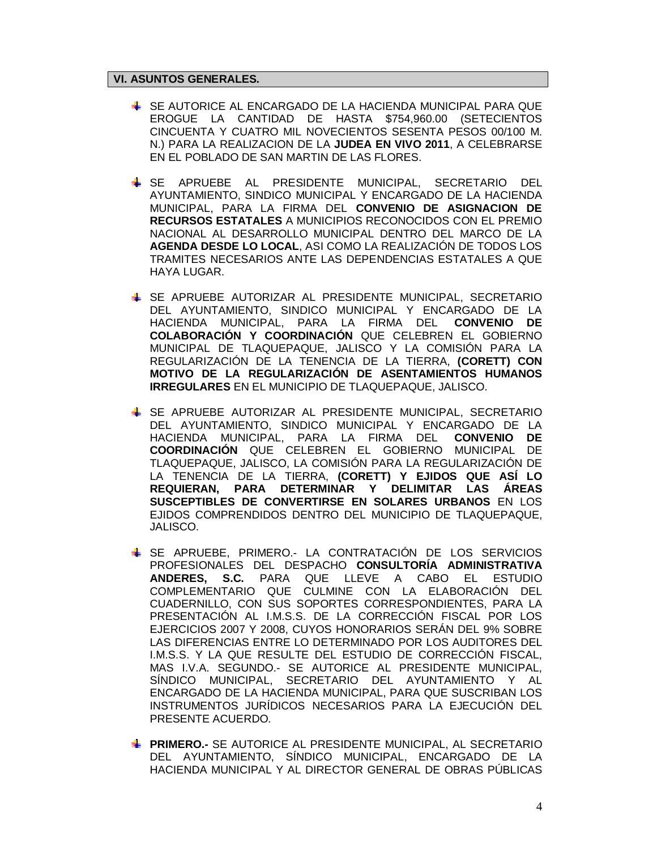# **VI. ASUNTOS GENERALES.**

- SE AUTORICE AL ENCARGADO DE LA HACIENDA MUNICIPAL PARA QUE EROGUE LA CANTIDAD DE HASTA \$754,960.00 (SETECIENTOS CINCUENTA Y CUATRO MIL NOVECIENTOS SESENTA PESOS 00/100 M. N.) PARA LA REALIZACION DE LA **JUDEA EN VIVO 2011**, A CELEBRARSE EN EL POBLADO DE SAN MARTIN DE LAS FLORES.
- SE APRUEBE AL PRESIDENTE MUNICIPAL, SECRETARIO DEL AYUNTAMIENTO, SINDICO MUNICIPAL Y ENCARGADO DE LA HACIENDA MUNICIPAL, PARA LA FIRMA DEL **CONVENIO DE ASIGNACION DE RECURSOS ESTATALES** A MUNICIPIOS RECONOCIDOS CON EL PREMIO NACIONAL AL DESARROLLO MUNICIPAL DENTRO DEL MARCO DE LA **AGENDA DESDE LO LOCAL**, ASI COMO LA REALIZACIÓN DE TODOS LOS TRAMITES NECESARIOS ANTE LAS DEPENDENCIAS ESTATALES A QUE HAYA LUGAR.
- SE APRUEBE AUTORIZAR AL PRESIDENTE MUNICIPAL, SECRETARIO DEL AYUNTAMIENTO, SINDICO MUNICIPAL Y ENCARGADO DE LA HACIENDA MUNICIPAL, PARA LA FIRMA DEL **CONVENIO DE COLABORACIÓN Y COORDINACIÓN** QUE CELEBREN EL GOBIERNO MUNICIPAL DE TLAQUEPAQUE, JALISCO Y LA COMISIÓN PARA LA REGULARIZACIÓN DE LA TENENCIA DE LA TIERRA, **(CORETT) CON MOTIVO DE LA REGULARIZACIÓN DE ASENTAMIENTOS HUMANOS IRREGULARES** EN EL MUNICIPIO DE TLAQUEPAQUE, JALISCO.
- SE APRUEBE AUTORIZAR AL PRESIDENTE MUNICIPAL, SECRETARIO DEL AYUNTAMIENTO, SINDICO MUNICIPAL Y ENCARGADO DE LA<br>HACIENDA MUNICIPAL. PARA LA FIRMA DEL CONVENIO DE HACIENDA MUNICIPAL, PARA LA FIRMA DEL **COORDINACIÓN** QUE CELEBREN EL GOBIERNO MUNICIPAL DE TLAQUEPAQUE, JALISCO, LA COMISIÓN PARA LA REGULARIZACIÓN DE LA TENENCIA DE LA TIERRA, **(CORETT) Y EJIDOS QUE ASÍ LO REQUIERAN, PARA DETERMINAR Y DELIMITAR LAS ÁREAS SUSCEPTIBLES DE CONVERTIRSE EN SOLARES URBANOS** EN LOS EJIDOS COMPRENDIDOS DENTRO DEL MUNICIPIO DE TLAQUEPAQUE, JALISCO.
- SE APRUEBE, PRIMERO.- LA CONTRATACIÓN DE LOS SERVICIOS PROFESIONALES DEL DESPACHO **CONSULTORÍA ADMINISTRATIVA ANDERES, S.C.** PARA QUE LLEVE A CABO EL ESTUDIO COMPLEMENTARIO QUE CULMINE CON LA ELABORACIÓN DEL CUADERNILLO, CON SUS SOPORTES CORRESPONDIENTES, PARA LA PRESENTACIÓN AL I.M.S.S. DE LA CORRECCIÓN FISCAL POR LOS EJERCICIOS 2007 Y 2008, CUYOS HONORARIOS SERÁN DEL 9% SOBRE LAS DIFERENCIAS ENTRE LO DETERMINADO POR LOS AUDITORES DEL I.M.S.S. Y LA QUE RESULTE DEL ESTUDIO DE CORRECCIÓN FISCAL, MAS I.V.A. SEGUNDO.- SE AUTORICE AL PRESIDENTE MUNICIPAL, SÍNDICO MUNICIPAL, SECRETARIO DEL AYUNTAMIENTO Y AL ENCARGADO DE LA HACIENDA MUNICIPAL, PARA QUE SUSCRIBAN LOS INSTRUMENTOS JURÍDICOS NECESARIOS PARA LA EJECUCIÓN DEL PRESENTE ACUERDO.
- **PRIMERO.-** SE AUTORICE AL PRESIDENTE MUNICIPAL, AL SECRETARIO DEL AYUNTAMIENTO, SÍNDICO MUNICIPAL, ENCARGADO DE LA HACIENDA MUNICIPAL Y AL DIRECTOR GENERAL DE OBRAS PÚBLICAS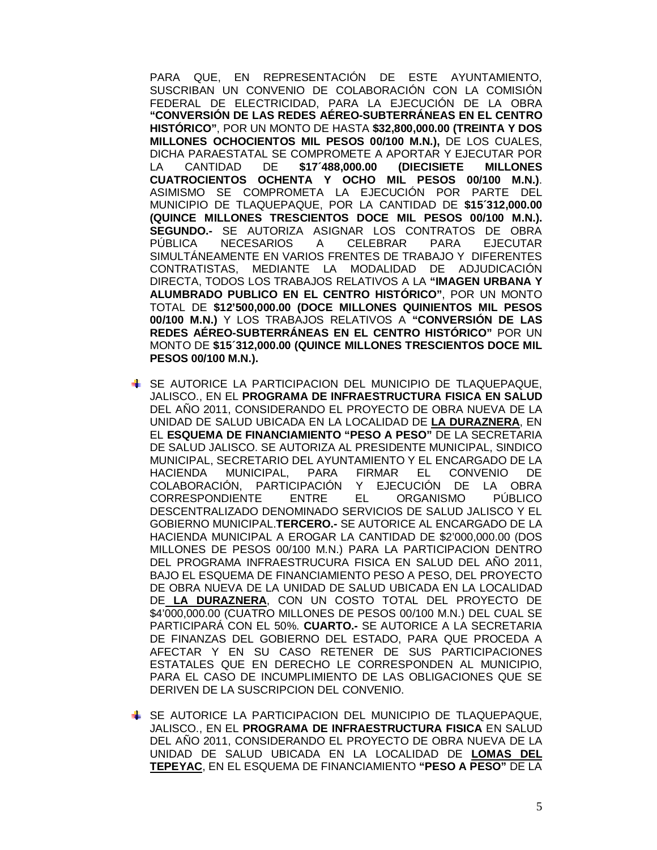PARA QUE, EN REPRESENTACIÓN DE ESTE AYUNTAMIENTO, SUSCRIBAN UN CONVENIO DE COLABORACIÓN CON LA COMISIÓN FEDERAL DE ELECTRICIDAD, PARA LA EJECUCIÓN DE LA OBRA **"CONVERSIÓN DE LAS REDES AÉREO-SUBTERRÁNEAS EN EL CENTRO HISTÓRICO"**, POR UN MONTO DE HASTA **\$32,800,000.00 (TREINTA Y DOS MILLONES OCHOCIENTOS MIL PESOS 00/100 M.N.),** DE LOS CUALES, DICHA PARAESTATAL SE COMPROMETE A APORTAR Y EJECUTAR POR LA CANTIDAD DE **\$17´488,000.00 (DIECISIETE MILLONES CUATROCIENTOS OCHENTA Y OCHO MIL PESOS 00/100 M.N.)**. ASIMISMO SE COMPROMETA LA EJECUCIÓN POR PARTE DEL MUNICIPIO DE TLAQUEPAQUE, POR LA CANTIDAD DE **\$15´312,000.00 (QUINCE MILLONES TRESCIENTOS DOCE MIL PESOS 00/100 M.N.). SEGUNDO.-** SE AUTORIZA ASIGNAR LOS CONTRATOS DE OBRA PÚBLICA NECESARIOS A CELEBRAR PARA EJECUTAR SIMULTÁNEAMENTE EN VARIOS FRENTES DE TRABAJO Y DIFERENTES CONTRATISTAS, MEDIANTE LA MODALIDAD DE ADJUDICACIÓN DIRECTA, TODOS LOS TRABAJOS RELATIVOS A LA **"IMAGEN URBANA Y ALUMBRADO PUBLICO EN EL CENTRO HISTÓRICO"**, POR UN MONTO TOTAL DE **\$12'500,000.00 (DOCE MILLONES QUINIENTOS MIL PESOS 00/100 M.N.)** Y LOS TRABAJOS RELATIVOS A **"CONVERSIÓN DE LAS REDES AÉREO-SUBTERRÁNEAS EN EL CENTRO HISTÓRICO"** POR UN MONTO DE **\$15´312,000.00 (QUINCE MILLONES TRESCIENTOS DOCE MIL PESOS 00/100 M.N.).**

- SE AUTORICE LA PARTICIPACION DEL MUNICIPIO DE TLAQUEPAQUE, JALISCO., EN EL **PROGRAMA DE INFRAESTRUCTURA FISICA EN SALUD** DEL AÑO 2011, CONSIDERANDO EL PROYECTO DE OBRA NUEVA DE LA UNIDAD DE SALUD UBICADA EN LA LOCALIDAD DE **LA DURAZNERA**, EN EL **ESQUEMA DE FINANCIAMIENTO "PESO A PESO"** DE LA SECRETARIA DE SALUD JALISCO. SE AUTORIZA AL PRESIDENTE MUNICIPAL, SINDICO MUNICIPAL, SECRETARIO DEL AYUNTAMIENTO Y EL ENCARGADO DE LA HACIENDA MUNICIPAL, PARA FIRMAR EL CONVENIO DE COLABORACIÓN, PARTICIPACIÓN Y EJECUCIÓN DE LA OBRA CORRESPONDIENTE ENTRE EL ORGANISMO PÚBLICO DESCENTRALIZADO DENOMINADO SERVICIOS DE SALUD JALISCO Y EL GOBIERNO MUNICIPAL.**TERCERO.-** SE AUTORICE AL ENCARGADO DE LA HACIENDA MUNICIPAL A EROGAR LA CANTIDAD DE \$2'000,000.00 (DOS MILLONES DE PESOS 00/100 M.N.) PARA LA PARTICIPACION DENTRO DEL PROGRAMA INFRAESTRUCURA FISICA EN SALUD DEL AÑO 2011, BAJO EL ESQUEMA DE FINANCIAMIENTO PESO A PESO, DEL PROYECTO DE OBRA NUEVA DE LA UNIDAD DE SALUD UBICADA EN LA LOCALIDAD DE **LA DURAZNERA**, CON UN COSTO TOTAL DEL PROYECTO DE \$4'000,000.00 (CUATRO MILLONES DE PESOS 00/100 M.N.) DEL CUAL SE PARTICIPARÁ CON EL 50%. **CUARTO.-** SE AUTORICE A LA SECRETARIA DE FINANZAS DEL GOBIERNO DEL ESTADO, PARA QUE PROCEDA A AFECTAR Y EN SU CASO RETENER DE SUS PARTICIPACIONES ESTATALES QUE EN DERECHO LE CORRESPONDEN AL MUNICIPIO, PARA EL CASO DE INCUMPLIMIENTO DE LAS OBLIGACIONES QUE SE DERIVEN DE LA SUSCRIPCION DEL CONVENIO.
- SE AUTORICE LA PARTICIPACION DEL MUNICIPIO DE TLAQUEPAQUE, JALISCO., EN EL **PROGRAMA DE INFRAESTRUCTURA FISICA** EN SALUD DEL AÑO 2011, CONSIDERANDO EL PROYECTO DE OBRA NUEVA DE LA UNIDAD DE SALUD UBICADA EN LA LOCALIDAD DE **LOMAS DEL TEPEYAC**, EN EL ESQUEMA DE FINANCIAMIENTO **"PESO A PESO"** DE LA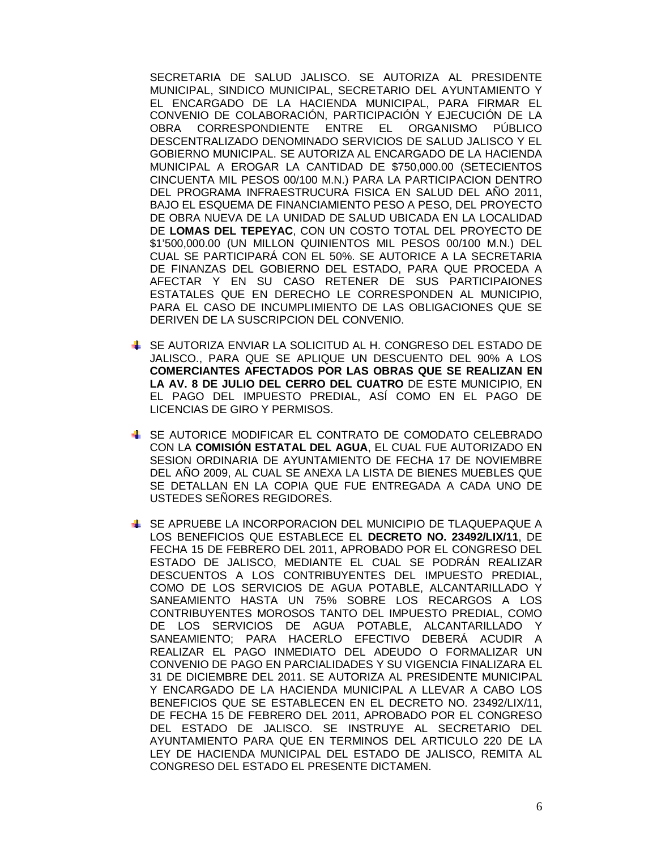SECRETARIA DE SALUD JALISCO. SE AUTORIZA AL PRESIDENTE MUNICIPAL, SINDICO MUNICIPAL, SECRETARIO DEL AYUNTAMIENTO Y EL ENCARGADO DE LA HACIENDA MUNICIPAL, PARA FIRMAR EL CONVENIO DE COLABORACIÓN, PARTICIPACIÓN Y EJECUCIÓN DE LA OBRA CORRESPONDIENTE ENTRE EL ORGANISMO PÚBLICO DESCENTRALIZADO DENOMINADO SERVICIOS DE SALUD JALISCO Y EL GOBIERNO MUNICIPAL. SE AUTORIZA AL ENCARGADO DE LA HACIENDA MUNICIPAL A EROGAR LA CANTIDAD DE \$750,000.00 (SETECIENTOS CINCUENTA MIL PESOS 00/100 M.N.) PARA LA PARTICIPACION DENTRO DEL PROGRAMA INFRAESTRUCURA FISICA EN SALUD DEL AÑO 2011, BAJO EL ESQUEMA DE FINANCIAMIENTO PESO A PESO, DEL PROYECTO DE OBRA NUEVA DE LA UNIDAD DE SALUD UBICADA EN LA LOCALIDAD DE **LOMAS DEL TEPEYAC**, CON UN COSTO TOTAL DEL PROYECTO DE \$1'500,000.00 (UN MILLON QUINIENTOS MIL PESOS 00/100 M.N.) DEL CUAL SE PARTICIPARÁ CON EL 50%. SE AUTORICE A LA SECRETARIA DE FINANZAS DEL GOBIERNO DEL ESTADO, PARA QUE PROCEDA A AFECTAR Y EN SU CASO RETENER DE SUS PARTICIPAIONES ESTATALES QUE EN DERECHO LE CORRESPONDEN AL MUNICIPIO, PARA EL CASO DE INCUMPLIMIENTO DE LAS OBLIGACIONES QUE SE DERIVEN DE LA SUSCRIPCION DEL CONVENIO.

- SE AUTORIZA ENVIAR LA SOLICITUD AL H. CONGRESO DEL ESTADO DE JALISCO., PARA QUE SE APLIQUE UN DESCUENTO DEL 90% A LOS **COMERCIANTES AFECTADOS POR LAS OBRAS QUE SE REALIZAN EN LA AV. 8 DE JULIO DEL CERRO DEL CUATRO** DE ESTE MUNICIPIO, EN EL PAGO DEL IMPUESTO PREDIAL, ASÍ COMO EN EL PAGO DE LICENCIAS DE GIRO Y PERMISOS.
- SE AUTORICE MODIFICAR EL CONTRATO DE COMODATO CELEBRADO CON LA **COMISIÓN ESTATAL DEL AGUA**, EL CUAL FUE AUTORIZADO EN SESION ORDINARIA DE AYUNTAMIENTO DE FECHA 17 DE NOVIEMBRE DEL AÑO 2009, AL CUAL SE ANEXA LA LISTA DE BIENES MUEBLES QUE SE DETALLAN EN LA COPIA QUE FUE ENTREGADA A CADA UNO DE USTEDES SEÑORES REGIDORES.
- SE APRUEBE LA INCORPORACION DEL MUNICIPIO DE TLAQUEPAQUE A LOS BENEFICIOS QUE ESTABLECE EL **DECRETO NO. 23492/LIX/11**, DE FECHA 15 DE FEBRERO DEL 2011, APROBADO POR EL CONGRESO DEL ESTADO DE JALISCO, MEDIANTE EL CUAL SE PODRÁN REALIZAR DESCUENTOS A LOS CONTRIBUYENTES DEL IMPUESTO PREDIAL, COMO DE LOS SERVICIOS DE AGUA POTABLE, ALCANTARILLADO Y SANEAMIENTO HASTA UN 75% SOBRE LOS RECARGOS A LOS CONTRIBUYENTES MOROSOS TANTO DEL IMPUESTO PREDIAL, COMO DE LOS SERVICIOS DE AGUA POTABLE, ALCANTARILLADO Y SANEAMIENTO; PARA HACERLO EFECTIVO DEBERÁ ACUDIR A REALIZAR EL PAGO INMEDIATO DEL ADEUDO O FORMALIZAR UN CONVENIO DE PAGO EN PARCIALIDADES Y SU VIGENCIA FINALIZARA EL 31 DE DICIEMBRE DEL 2011. SE AUTORIZA AL PRESIDENTE MUNICIPAL Y ENCARGADO DE LA HACIENDA MUNICIPAL A LLEVAR A CABO LOS BENEFICIOS QUE SE ESTABLECEN EN EL DECRETO NO. 23492/LIX/11, DE FECHA 15 DE FEBRERO DEL 2011, APROBADO POR EL CONGRESO DEL ESTADO DE JALISCO. SE INSTRUYE AL SECRETARIO DEL AYUNTAMIENTO PARA QUE EN TERMINOS DEL ARTICULO 220 DE LA LEY DE HACIENDA MUNICIPAL DEL ESTADO DE JALISCO, REMITA AL CONGRESO DEL ESTADO EL PRESENTE DICTAMEN.